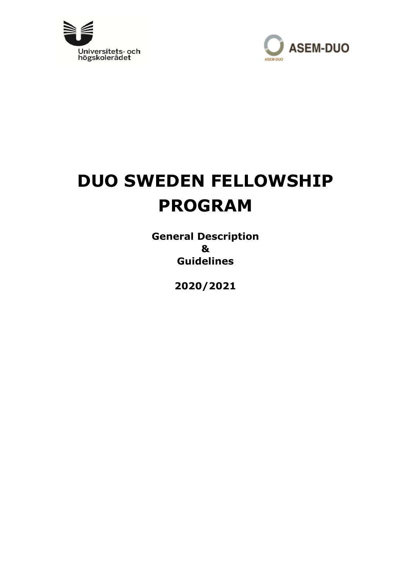



# **DUO SWEDEN FELLOWSHIP PROGRAM**

**General Description & Guidelines** 

**2020/2021**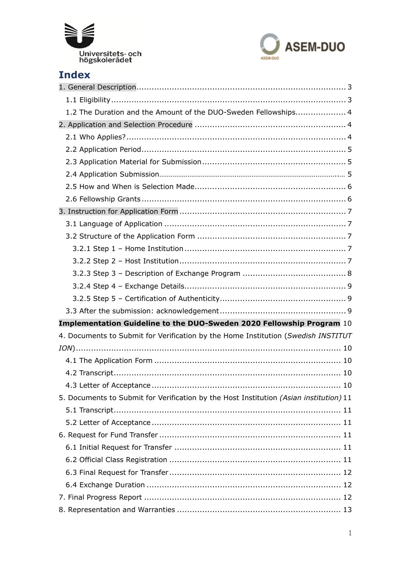



# **Index**

| 1.2 The Duration and the Amount of the DUO-Sweden Fellowships 4                        |
|----------------------------------------------------------------------------------------|
|                                                                                        |
|                                                                                        |
|                                                                                        |
|                                                                                        |
|                                                                                        |
|                                                                                        |
|                                                                                        |
|                                                                                        |
|                                                                                        |
|                                                                                        |
|                                                                                        |
|                                                                                        |
|                                                                                        |
|                                                                                        |
|                                                                                        |
|                                                                                        |
| Implementation Guideline to the DUO-Sweden 2020 Fellowship Program 10                  |
| 4. Documents to Submit for Verification by the Home Institution (Swedish INSTITUT      |
|                                                                                        |
|                                                                                        |
|                                                                                        |
|                                                                                        |
| 5. Documents to Submit for Verification by the Host Institution (Asian institution) 11 |
|                                                                                        |
|                                                                                        |
|                                                                                        |
|                                                                                        |
|                                                                                        |
|                                                                                        |
|                                                                                        |
|                                                                                        |
|                                                                                        |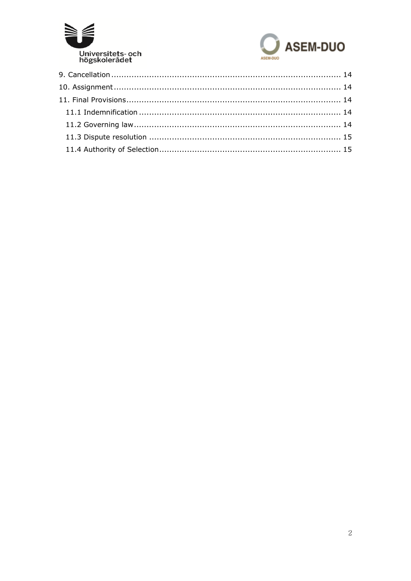

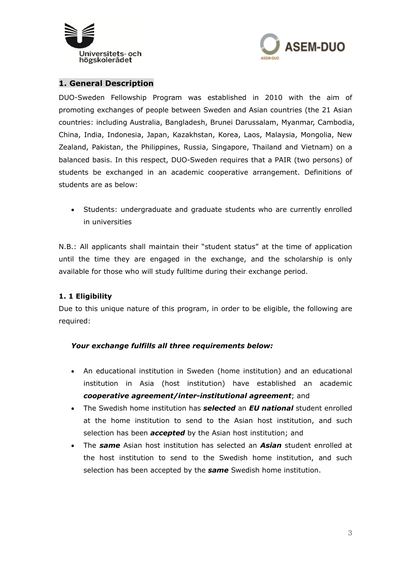



#### **1. General Description**

DUO-Sweden Fellowship Program was established in 2010 with the aim of promoting exchanges of people between Sweden and Asian countries (the 21 Asian countries: including Australia, Bangladesh, Brunei Darussalam, Myanmar, Cambodia, China, India, Indonesia, Japan, Kazakhstan, Korea, Laos, Malaysia, Mongolia, New Zealand, Pakistan, the Philippines, Russia, Singapore, Thailand and Vietnam) on a balanced basis. In this respect, DUO-Sweden requires that a PAIR (two persons) of students be exchanged in an academic cooperative arrangement. Definitions of students are as below:

 Students: undergraduate and graduate students who are currently enrolled in universities

N.B.: All applicants shall maintain their "student status" at the time of application until the time they are engaged in the exchange, and the scholarship is only available for those who will study fulltime during their exchange period.

#### **1. 1 Eligibility**

Due to this unique nature of this program, in order to be eligible, the following are required:

#### *Your exchange fulfills all three requirements below:*

- An educational institution in Sweden (home institution) and an educational institution in Asia (host institution) have established an academic *cooperative agreement/inter-institutional agreement*; and
- The Swedish home institution has *selected* an *EU national* student enrolled at the home institution to send to the Asian host institution, and such selection has been *accepted* by the Asian host institution; and
- The *same* Asian host institution has selected an *Asian* student enrolled at the host institution to send to the Swedish home institution, and such selection has been accepted by the *same* Swedish home institution.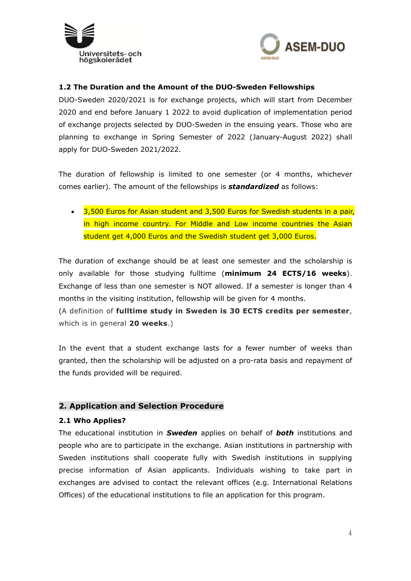



#### **1.2 The Duration and the Amount of the DUO-Sweden Fellowships**

DUO-Sweden 2020/2021 is for exchange projects, which will start from December 2020 and end before January 1 2022 to avoid duplication of implementation period of exchange projects selected by DUO-Sweden in the ensuing years. Those who are planning to exchange in Spring Semester of 2022 (January-August 2022) shall apply for DUO-Sweden 2021/2022.

The duration of fellowship is limited to one semester (or 4 months, whichever comes earlier). The amount of the fellowships is *standardized* as follows:

• 3,500 Euros for Asian student and 3,500 Euros for Swedish students in a pair, in high income country. For Middle and Low income countries the Asian student get 4,000 Euros and the Swedish student get 3,000 Euros.

The duration of exchange should be at least one semester and the scholarship is only available for those studying fulltime (**minimum 24 ECTS/16 weeks**). Exchange of less than one semester is NOT allowed. If a semester is longer than 4 months in the visiting institution, fellowship will be given for 4 months.

(A definition of **fulltime study in Sweden is 30 ECTS credits per semester**, which is in general **20 weeks**.)

In the event that a student exchange lasts for a fewer number of weeks than granted, then the scholarship will be adjusted on a pro-rata basis and repayment of the funds provided will be required.

#### **2. Application and Selection Procedure**

#### **2.1 Who Applies?**

The educational institution in *Sweden* applies on behalf of *both* institutions and people who are to participate in the exchange. Asian institutions in partnership with Sweden institutions shall cooperate fully with Swedish institutions in supplying precise information of Asian applicants. Individuals wishing to take part in exchanges are advised to contact the relevant offices (e.g. International Relations Offices) of the educational institutions to file an application for this program.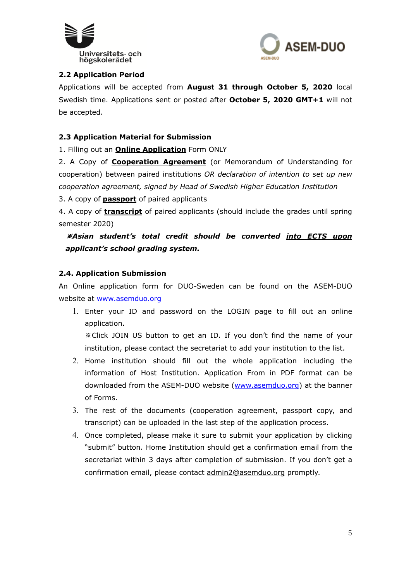



#### **2.2 Application Period**

Applications will be accepted from **August 31 through October 5, 2020** local Swedish time. Applications sent or posted after **October 5, 2020 GMT+1** will not be accepted.

#### **2.3 Application Material for Submission**

1. Filling out an **Online Application** Form ONLY

2. A Copy of **Cooperation Agreement** (or Memorandum of Understanding for cooperation) between paired institutions *OR declaration of intention to set up new cooperation agreement, signed by Head of Swedish Higher Education Institution*

3. A copy of **passport** of paired applicants

4. A copy of **transcript** of paired applicants (should include the grades until spring semester 2020)

※*Asian student's total credit should be converted into ECTS upon applicant's school grading system.*

#### **2.4. Application Submission**

An Online application form for DUO-Sweden can be found on the ASEM-DUO website at www.asemduo.org

1. Enter your ID and password on the LOGIN page to fill out an online application.

※Click JOIN US button to get an ID. If you don't find the name of your institution, please contact the secretariat to add your institution to the list.

- 2. Home institution should fill out the whole application including the information of Host Institution. Application From in PDF format can be downloaded from the ASEM-DUO website (www.asemduo.org) at the banner of Forms.
- 3. The rest of the documents (cooperation agreement, passport copy, and transcript) can be uploaded in the last step of the application process.
- 4. Once completed, please make it sure to submit your application by clicking "submit" button. Home Institution should get a confirmation email from the secretariat within 3 days after completion of submission. If you don't get a confirmation email, please contact admin2@asemduo.org promptly.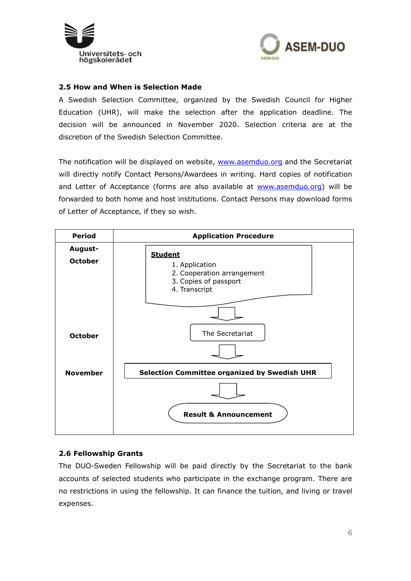



#### **2.5 How and When is Selection Made**

A Swedish Selection Committee, organized by the Swedish Council for Higher Education (UHR), will make the selection after the application deadline. The decision will be announced in November 2020. Selection criteria are at the discretion of the Swedish Selection Committee.

The notification will be displayed on website, www.asemduo.org and the Secretariat will directly notify Contact Persons/Awardees in writing. Hard copies of notification and Letter of Acceptance (forms are also available at www.asemduo.org) will be forwarded to both home and host institutions. Contact Persons may download forms of Letter of Acceptance, if they so wish.



#### **2.6 Fellowship Grants**

The DUO-Sweden Fellowship will be paid directly by the Secretariat to the bank accounts of selected students who participate in the exchange program. There are no restrictions in using the fellowship. It can finance the tuition, and living or travel expenses.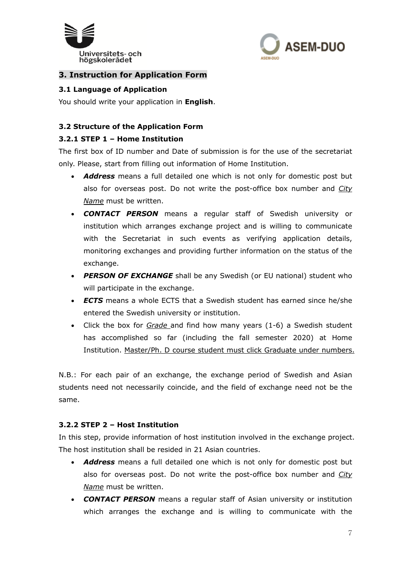



# **3. Instruction for Application Form**

#### **3.1 Language of Application**

You should write your application in **English**.

#### **3.2 Structure of the Application Form**

#### **3.2.1 STEP 1 – Home Institution**

The first box of ID number and Date of submission is for the use of the secretariat only. Please, start from filling out information of Home Institution.

- *Address* means a full detailed one which is not only for domestic post but also for overseas post. Do not write the post-office box number and *City Name* must be written.
- *CONTACT PERSON* means a regular staff of Swedish university or institution which arranges exchange project and is willing to communicate with the Secretariat in such events as verifying application details, monitoring exchanges and providing further information on the status of the exchange.
- *PERSON OF EXCHANGE* shall be any Swedish (or EU national) student who will participate in the exchange.
- *ECTS* means a whole ECTS that a Swedish student has earned since he/she entered the Swedish university or institution.
- Click the box for *Grade* and find how many years (1-6) a Swedish student has accomplished so far (including the fall semester 2020) at Home Institution. Master/Ph. D course student must click Graduate under numbers.

N.B.: For each pair of an exchange, the exchange period of Swedish and Asian students need not necessarily coincide, and the field of exchange need not be the same.

#### **3.2.2 STEP 2 – Host Institution**

In this step, provide information of host institution involved in the exchange project. The host institution shall be resided in 21 Asian countries.

- *Address* means a full detailed one which is not only for domestic post but also for overseas post. Do not write the post-office box number and *City Name* must be written.
- *CONTACT PERSON* means a regular staff of Asian university or institution which arranges the exchange and is willing to communicate with the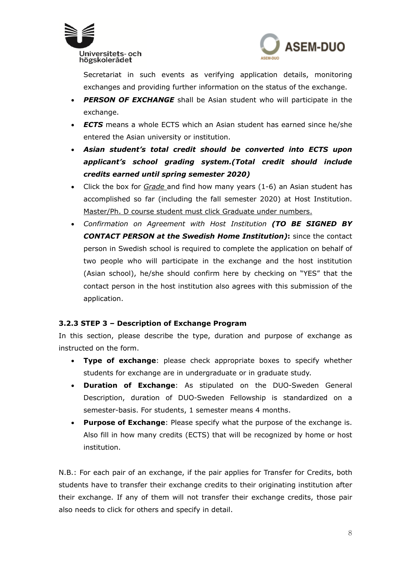



Secretariat in such events as verifying application details, monitoring exchanges and providing further information on the status of the exchange.

- *PERSON OF EXCHANGE* shall be Asian student who will participate in the exchange.
- *ECTS* means a whole ECTS which an Asian student has earned since he/she entered the Asian university or institution.
- *Asian student's total credit should be converted into ECTS upon applicant's school grading system.(Total credit should include credits earned until spring semester 2020)*
- Click the box for *Grade* and find how many years (1-6) an Asian student has accomplished so far (including the fall semester 2020) at Host Institution. Master/Ph. D course student must click Graduate under numbers.
- *Confirmation on Agreement with Host Institution (TO BE SIGNED BY CONTACT PERSON at the Swedish Home Institution)***:** since the contact person in Swedish school is required to complete the application on behalf of two people who will participate in the exchange and the host institution (Asian school), he/she should confirm here by checking on "YES" that the contact person in the host institution also agrees with this submission of the application.

# **3.2.3 STEP 3 – Description of Exchange Program**

In this section, please describe the type, duration and purpose of exchange as instructed on the form.

- **Type of exchange**: please check appropriate boxes to specify whether students for exchange are in undergraduate or in graduate study.
- **Duration of Exchange**: As stipulated on the DUO-Sweden General Description, duration of DUO-Sweden Fellowship is standardized on a semester-basis. For students, 1 semester means 4 months.
- **Purpose of Exchange**: Please specify what the purpose of the exchange is. Also fill in how many credits (ECTS) that will be recognized by home or host institution.

N.B.: For each pair of an exchange, if the pair applies for Transfer for Credits, both students have to transfer their exchange credits to their originating institution after their exchange. If any of them will not transfer their exchange credits, those pair also needs to click for others and specify in detail.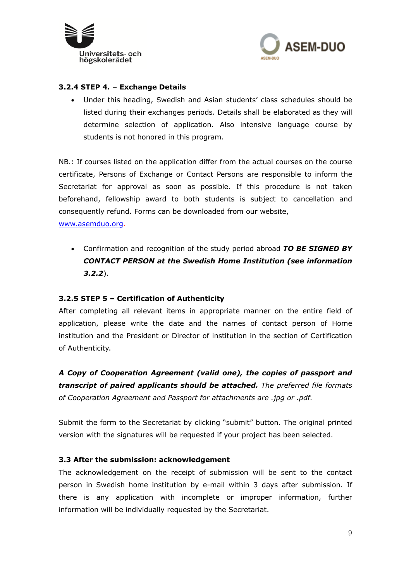



#### **3.2.4 STEP 4. – Exchange Details**

 Under this heading, Swedish and Asian students' class schedules should be listed during their exchanges periods. Details shall be elaborated as they will determine selection of application. Also intensive language course by students is not honored in this program.

NB.: If courses listed on the application differ from the actual courses on the course certificate, Persons of Exchange or Contact Persons are responsible to inform the Secretariat for approval as soon as possible. If this procedure is not taken beforehand, fellowship award to both students is subject to cancellation and consequently refund. Forms can be downloaded from our website,

www.asemduo.org.

 Confirmation and recognition of the study period abroad *TO BE SIGNED BY CONTACT PERSON at the Swedish Home Institution (see information 3.2.2*).

#### **3.2.5 STEP 5 – Certification of Authenticity**

After completing all relevant items in appropriate manner on the entire field of application, please write the date and the names of contact person of Home institution and the President or Director of institution in the section of Certification of Authenticity.

*A Copy of Cooperation Agreement (valid one), the copies of passport and transcript of paired applicants should be attached. The preferred file formats of Cooperation Agreement and Passport for attachments are .jpg or .pdf.* 

Submit the form to the Secretariat by clicking "submit" button. The original printed version with the signatures will be requested if your project has been selected.

#### **3.3 After the submission: acknowledgement**

The acknowledgement on the receipt of submission will be sent to the contact person in Swedish home institution by e-mail within 3 days after submission. If there is any application with incomplete or improper information, further information will be individually requested by the Secretariat.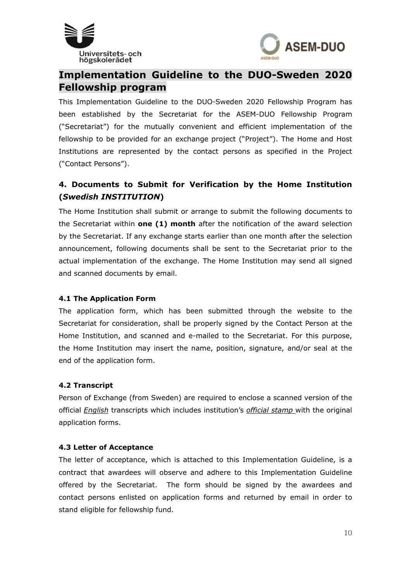



# **Implementation Guideline to the DUO-Sweden 2020 Fellowship program**

This Implementation Guideline to the DUO-Sweden 2020 Fellowship Program has been established by the Secretariat for the ASEM-DUO Fellowship Program ("Secretariat") for the mutually convenient and efficient implementation of the fellowship to be provided for an exchange project ("Project"). The Home and Host Institutions are represented by the contact persons as specified in the Project ("Contact Persons").

# **4. Documents to Submit for Verification by the Home Institution (***Swedish INSTITUTION***)**

The Home Institution shall submit or arrange to submit the following documents to the Secretariat within **one (1) month** after the notification of the award selection by the Secretariat. If any exchange starts earlier than one month after the selection announcement, following documents shall be sent to the Secretariat prior to the actual implementation of the exchange. The Home Institution may send all signed and scanned documents by email.

#### **4.1 The Application Form**

The application form, which has been submitted through the website to the Secretariat for consideration, shall be properly signed by the Contact Person at the Home Institution, and scanned and e-mailed to the Secretariat. For this purpose, the Home Institution may insert the name, position, signature, and/or seal at the end of the application form.

#### **4.2 Transcript**

Person of Exchange (from Sweden) are required to enclose a scanned version of the official *English* transcripts which includes institution's *official stamp* with the original application forms.

#### **4.3 Letter of Acceptance**

The letter of acceptance, which is attached to this Implementation Guideline, is a contract that awardees will observe and adhere to this Implementation Guideline offered by the Secretariat. The form should be signed by the awardees and contact persons enlisted on application forms and returned by email in order to stand eligible for fellowship fund.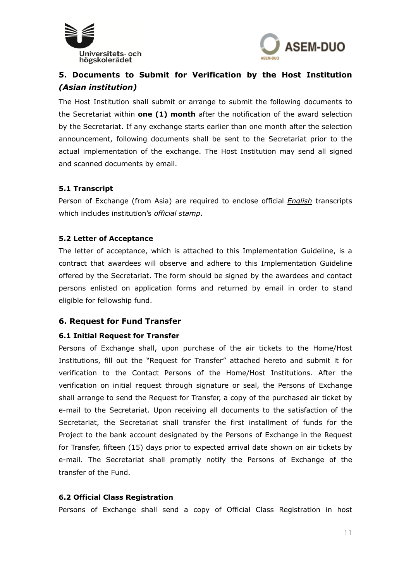



# **5. Documents to Submit for Verification by the Host Institution**  *(Asian institution)*

The Host Institution shall submit or arrange to submit the following documents to the Secretariat within **one (1) month** after the notification of the award selection by the Secretariat. If any exchange starts earlier than one month after the selection announcement, following documents shall be sent to the Secretariat prior to the actual implementation of the exchange. The Host Institution may send all signed and scanned documents by email.

#### **5.1 Transcript**

Person of Exchange (from Asia) are required to enclose official *English* transcripts which includes institution's *official stamp*.

#### **5.2 Letter of Acceptance**

The letter of acceptance, which is attached to this Implementation Guideline, is a contract that awardees will observe and adhere to this Implementation Guideline offered by the Secretariat. The form should be signed by the awardees and contact persons enlisted on application forms and returned by email in order to stand eligible for fellowship fund.

#### **6. Request for Fund Transfer**

#### **6.1 Initial Request for Transfer**

Persons of Exchange shall, upon purchase of the air tickets to the Home/Host Institutions, fill out the "Request for Transfer" attached hereto and submit it for verification to the Contact Persons of the Home/Host Institutions. After the verification on initial request through signature or seal, the Persons of Exchange shall arrange to send the Request for Transfer, a copy of the purchased air ticket by e-mail to the Secretariat. Upon receiving all documents to the satisfaction of the Secretariat, the Secretariat shall transfer the first installment of funds for the Project to the bank account designated by the Persons of Exchange in the Request for Transfer, fifteen (15) days prior to expected arrival date shown on air tickets by e-mail. The Secretariat shall promptly notify the Persons of Exchange of the transfer of the Fund.

#### **6.2 Official Class Registration**

Persons of Exchange shall send a copy of Official Class Registration in host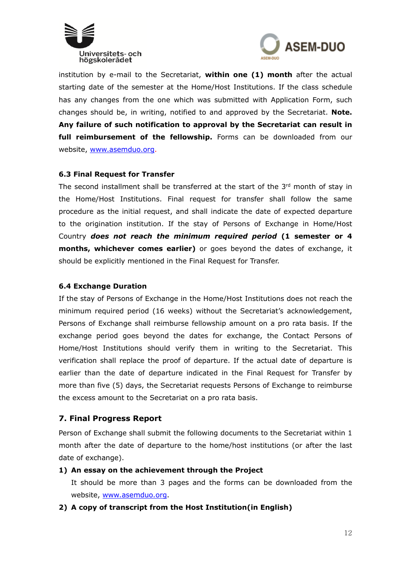



institution by e-mail to the Secretariat, **within one (1) month** after the actual starting date of the semester at the Home/Host Institutions. If the class schedule has any changes from the one which was submitted with Application Form, such changes should be, in writing, notified to and approved by the Secretariat. **Note. Any failure of such notification to approval by the Secretariat can result in full reimbursement of the fellowship.** Forms can be downloaded from our website, www.asemduo.org.

#### **6.3 Final Request for Transfer**

The second installment shall be transferred at the start of the 3rd month of stay in the Home/Host Institutions. Final request for transfer shall follow the same procedure as the initial request, and shall indicate the date of expected departure to the origination institution. If the stay of Persons of Exchange in Home/Host Country *does not reach the minimum required period* **(1 semester or 4 months, whichever comes earlier)** or goes beyond the dates of exchange, it should be explicitly mentioned in the Final Request for Transfer.

#### **6.4 Exchange Duration**

If the stay of Persons of Exchange in the Home/Host Institutions does not reach the minimum required period (16 weeks) without the Secretariat's acknowledgement, Persons of Exchange shall reimburse fellowship amount on a pro rata basis. If the exchange period goes beyond the dates for exchange, the Contact Persons of Home/Host Institutions should verify them in writing to the Secretariat. This verification shall replace the proof of departure. If the actual date of departure is earlier than the date of departure indicated in the Final Request for Transfer by more than five (5) days, the Secretariat requests Persons of Exchange to reimburse the excess amount to the Secretariat on a pro rata basis.

# **7. Final Progress Report**

Person of Exchange shall submit the following documents to the Secretariat within 1 month after the date of departure to the home/host institutions (or after the last date of exchange).

#### **1) An essay on the achievement through the Project**

It should be more than 3 pages and the forms can be downloaded from the website, www.asemduo.org.

#### **2) A copy of transcript from the Host Institution(in English)**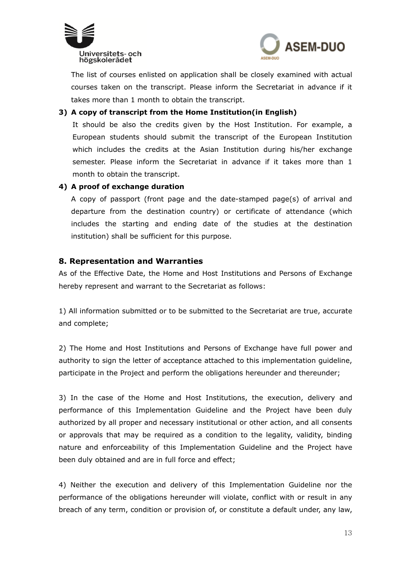



The list of courses enlisted on application shall be closely examined with actual courses taken on the transcript. Please inform the Secretariat in advance if it takes more than 1 month to obtain the transcript.

# **3) A copy of transcript from the Home Institution(in English)**

It should be also the credits given by the Host Institution. For example, a European students should submit the transcript of the European Institution which includes the credits at the Asian Institution during his/her exchange semester. Please inform the Secretariat in advance if it takes more than 1 month to obtain the transcript.

# **4) A proof of exchange duration**

A copy of passport (front page and the date-stamped page(s) of arrival and departure from the destination country) or certificate of attendance (which includes the starting and ending date of the studies at the destination institution) shall be sufficient for this purpose.

# **8. Representation and Warranties**

As of the Effective Date, the Home and Host Institutions and Persons of Exchange hereby represent and warrant to the Secretariat as follows:

1) All information submitted or to be submitted to the Secretariat are true, accurate and complete;

2) The Home and Host Institutions and Persons of Exchange have full power and authority to sign the letter of acceptance attached to this implementation guideline, participate in the Project and perform the obligations hereunder and thereunder;

3) In the case of the Home and Host Institutions, the execution, delivery and performance of this Implementation Guideline and the Project have been duly authorized by all proper and necessary institutional or other action, and all consents or approvals that may be required as a condition to the legality, validity, binding nature and enforceability of this Implementation Guideline and the Project have been duly obtained and are in full force and effect;

4) Neither the execution and delivery of this Implementation Guideline nor the performance of the obligations hereunder will violate, conflict with or result in any breach of any term, condition or provision of, or constitute a default under, any law,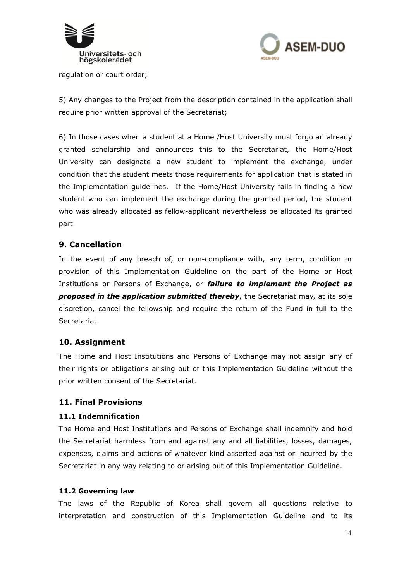



regulation or court order;

5) Any changes to the Project from the description contained in the application shall require prior written approval of the Secretariat;

6) In those cases when a student at a Home /Host University must forgo an already granted scholarship and announces this to the Secretariat, the Home/Host University can designate a new student to implement the exchange, under condition that the student meets those requirements for application that is stated in the Implementation guidelines. If the Home/Host University fails in finding a new student who can implement the exchange during the granted period, the student who was already allocated as fellow-applicant nevertheless be allocated its granted part.

# **9. Cancellation**

In the event of any breach of, or non-compliance with, any term, condition or provision of this Implementation Guideline on the part of the Home or Host Institutions or Persons of Exchange, or *failure to implement the Project as proposed in the application submitted thereby*, the Secretariat may, at its sole discretion, cancel the fellowship and require the return of the Fund in full to the Secretariat.

# **10. Assignment**

The Home and Host Institutions and Persons of Exchange may not assign any of their rights or obligations arising out of this Implementation Guideline without the prior written consent of the Secretariat.

# **11. Final Provisions**

#### **11.1 Indemnification**

The Home and Host Institutions and Persons of Exchange shall indemnify and hold the Secretariat harmless from and against any and all liabilities, losses, damages, expenses, claims and actions of whatever kind asserted against or incurred by the Secretariat in any way relating to or arising out of this Implementation Guideline.

#### **11.2 Governing law**

The laws of the Republic of Korea shall govern all questions relative to interpretation and construction of this Implementation Guideline and to its